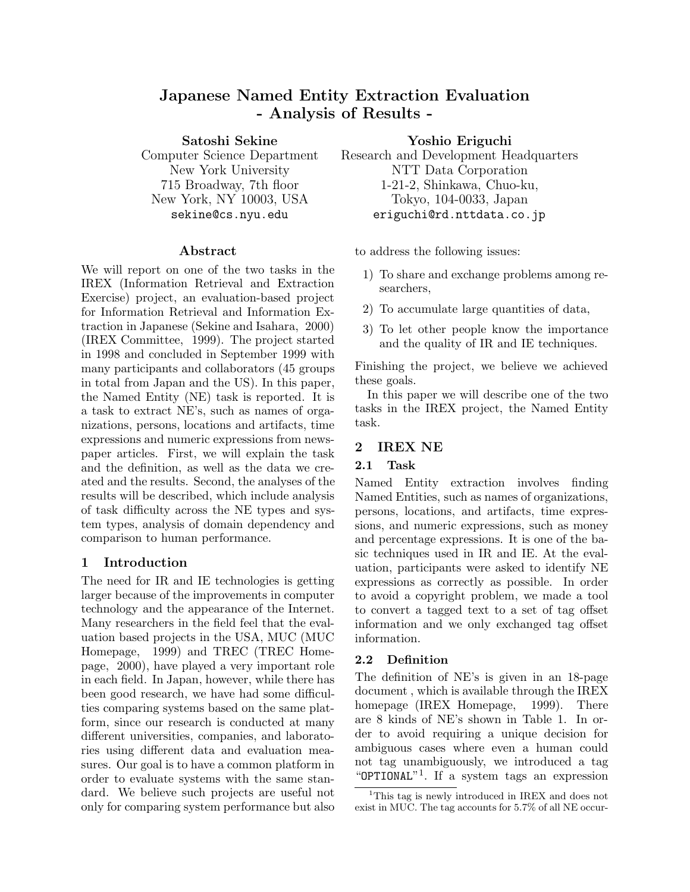# **Japanese Named Entity Extraction Evaluation - Analysis of Results -**

**Satoshi Sekine**

Computer Science Department New York University 715 Broadway, 7th floor New York, NY 10003, USA sekine@cs.nyu.edu

### **Abstract**

We will report on one of the two tasks in the IREX (Information Retrieval and Extraction Exercise) project, an evaluation-based project for Information Retrieval and Information Extraction in Japanese (Sekine and Isahara, 2000) (IREX Committee, 1999). The project started in 1998 and concluded in September 1999 with many participants and collaborators (45 groups in total from Japan and the US). In this paper, the Named Entity (NE) task is reported. It is a task to extract NE's, such as names of organizations, persons, locations and artifacts, time expressions and numeric expressions from newspaper articles. First, we will explain the task and the definition, as well as the data we created and the results. Second, the analyses of the results will be described, which include analysis of task difficulty across the NE types and system types, analysis of domain dependency and comparison to human performance.

## **1 Introduction**

The need for IR and IE technologies is getting larger because of the improvements in computer technology and the appearance of the Internet. Many researchers in the field feel that the evaluation based projects in the USA, MUC (MUC Homepage, 1999) and TREC (TREC Homepage, 2000), have played a very important role in each field. In Japan, however, while there has been good research, we have had some difficulties comparing systems based on the same platform, since our research is conducted at many different universities, companies, and laboratories using different data and evaluation measures. Our goal is to have a common platform in order to evaluate systems with the same standard. We believe such projects are useful not only for comparing system performance but also **Yoshio Eriguchi**

Research and Development Headquarters NTT Data Corporation 1-21-2, Shinkawa, Chuo-ku, Tokyo, 104-0033, Japan eriguchi@rd.nttdata.co.jp

to address the following issues:

- 1) To share and exchange problems among researchers,
- 2) To accumulate large quantities of data,
- 3) To let other people know the importance and the quality of IR and IE techniques.

Finishing the project, we believe we achieved these goals.

In this paper we will describe one of the two tasks in the IREX project, the Named Entity task.

## **2 IREX NE**

## **2.1 Task**

Named Entity extraction involves finding Named Entities, such as names of organizations, persons, locations, and artifacts, time expressions, and numeric expressions, such as money and percentage expressions. It is one of the basic techniques used in IR and IE. At the evaluation, participants were asked to identify NE expressions as correctly as possible. In order to avoid a copyright problem, we made a tool to convert a tagged text to a set of tag offset information and we only exchanged tag offset information.

## **2.2 Definition**

The definition of NE's is given in an 18-page document , which is available through the IREX homepage (IREX Homepage, 1999). There are 8 kinds of NE's shown in Table 1. In order to avoid requiring a unique decision for ambiguous cases where even a human could not tag unambiguously, we introduced a tag "OPTIONAL"<sup>1</sup>. If a system tags an expression

<sup>1</sup>This tag is newly introduced in IREX and does not exist in MUC. The tag accounts for 5.7% of all NE occur-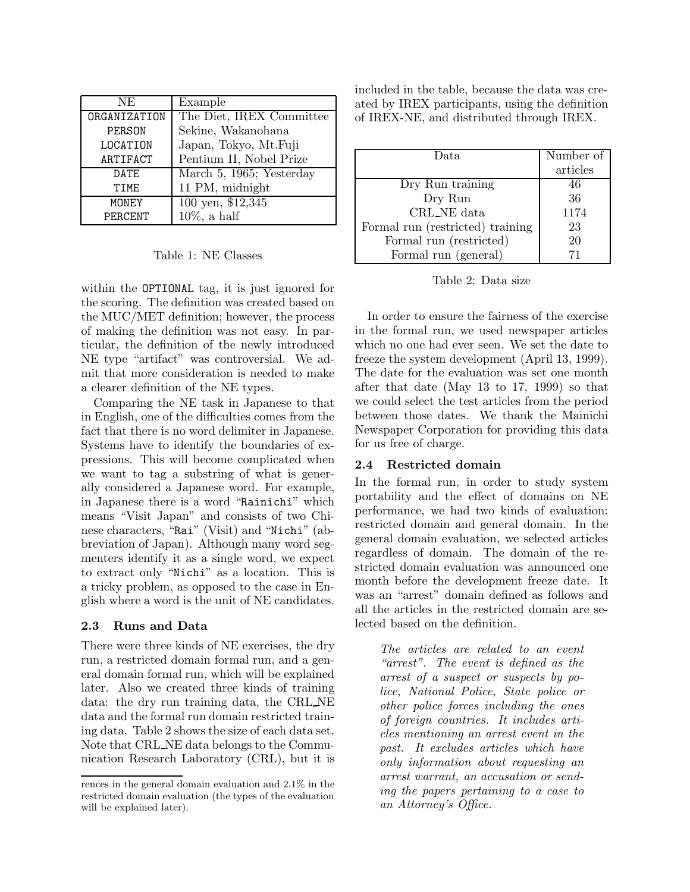| NE.          | Example                        |
|--------------|--------------------------------|
| ORGANIZATION | The Diet, IREX Committee       |
| PERSON       | Sekine, Wakanohana             |
| LOCATION     | Japan, Tokyo, Mt.Fuji          |
| ARTIFACT     | Pentium II, Nobel Prize        |
| DATE         | March 5, 1965; Yesterday       |
| TTMF.        | 11 PM, midnight                |
| MONEY        | $100 \overline{$ yen, \$12,345 |
| PERCENT      | $10\%$ , a half                |

Table 1: NE Classes

within the OPTIONAL tag, it is just ignored for the scoring. The definition was created based on the MUC/MET definition; however, the process of making the definition was not easy. In particular, the definition of the newly introduced NE type "artifact" was controversial. We admit that more consideration is needed to make a clearer definition of the NE types.

Comparing the NE task in Japanese to that in English, one of the difficulties comes from the fact that there is no word delimiter in Japanese. Systems have to identify the boundaries of expressions. This will become complicated when we want to tag a substring of what is generally considered a Japanese word. For example, in Japanese there is a word "Rainichi" which means "Visit Japan" and consists of two Chinese characters, "Rai" (Visit) and "Nichi" (abbreviation of Japan). Although many word segmenters identify it as a single word, we expect to extract only "Nichi" as a location. This is a tricky problem, as opposed to the case in English where a word is the unit of NE candidates.

### **2.3 Runs and Data**

There were three kinds of NE exercises, the dry run, a restricted domain formal run, and a general domain formal run, which will be explained later. Also we created three kinds of training data: the dry run training data, the CRL NE data and the formal run domain restricted training data. Table 2 shows the size of each data set. Note that CRL NE data belongs to the Communication Research Laboratory (CRL), but it is included in the table, because the data was created by IREX participants, using the definition of IREX-NE, and distributed through IREX.

| Data                             | Number of |
|----------------------------------|-----------|
|                                  |           |
|                                  | articles  |
| Dry Run training                 | 46        |
| Dry Run                          | 36        |
| CRL_NE data                      | 1174      |
| Formal run (restricted) training | 23        |
| Formal run (restricted)          | 20        |
| Formal run (general)             | 71        |

Table 2: Data size

In order to ensure the fairness of the exercise in the formal run, we used newspaper articles which no one had ever seen. We set the date to freeze the system development (April 13, 1999). The date for the evaluation was set one month after that date (May 13 to 17, 1999) so that we could select the test articles from the period between those dates. We thank the Mainichi Newspaper Corporation for providing this data for us free of charge.

## **2.4 Restricted domain**

In the formal run, in order to study system portability and the effect of domains on NE performance, we had two kinds of evaluation: restricted domain and general domain. In the general domain evaluation, we selected articles regardless of domain. The domain of the restricted domain evaluation was announced one month before the development freeze date. It was an "arrest" domain defined as follows and all the articles in the restricted domain are selected based on the definition.

*The articles are related to an event "arrest". The event is defined as the arrest of a suspect or suspects by police, National Police, State police or other police forces including the ones of foreign countries. It includes articles mentioning an arrest event in the past. It excludes articles which have only information about requesting an arrest warrant, an accusation or sending the papers pertaining to a case to an Attorney's Office.*

rences in the general domain evaluation and 2.1% in the restricted domain evaluation (the types of the evaluation will be explained later).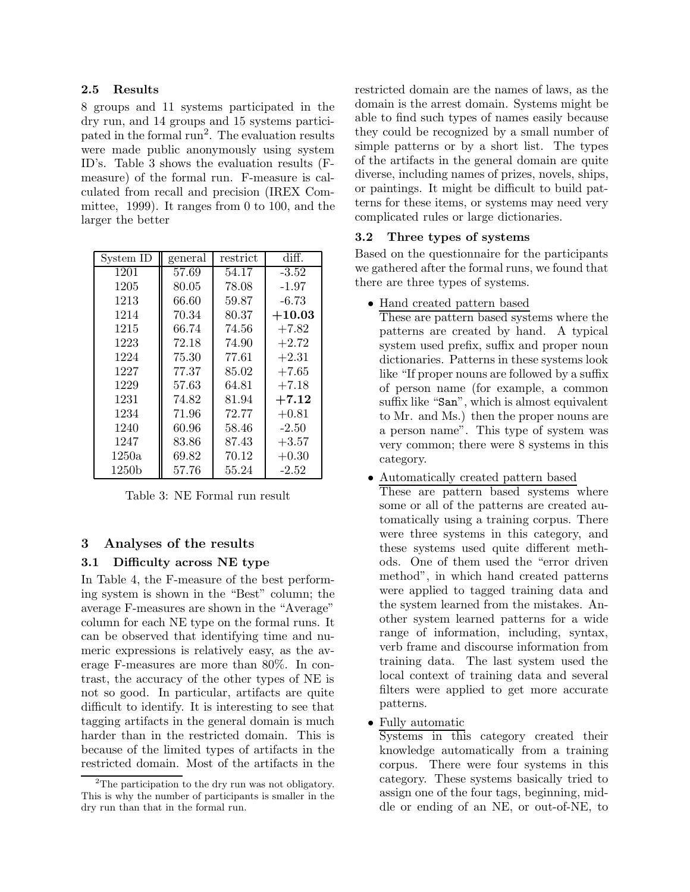### **2.5 Results**

8 groups and 11 systems participated in the dry run, and 14 groups and 15 systems participated in the formal run<sup>2</sup>. The evaluation results were made public anonymously using system ID's. Table 3 shows the evaluation results (Fmeasure) of the formal run. F-measure is calculated from recall and precision (IREX Committee, 1999). It ranges from 0 to 100, and the larger the better

| System ID | general | restrict | diff.    |
|-----------|---------|----------|----------|
| 1201      | 57.69   | 54.17    | $-3.52$  |
| 1205      | 80.05   | 78.08    | $-1.97$  |
| 1213      | 66.60   | 59.87    | $-6.73$  |
| 1214      | 70.34   | 80.37    | $+10.03$ |
| 1215      | 66.74   | 74.56    | $+7.82$  |
| 1223      | 72.18   | 74.90    | $+2.72$  |
| 1224      | 75.30   | 77.61    | $+2.31$  |
| 1227      | 77.37   | 85.02    | $+7.65$  |
| 1229      | 57.63   | 64.81    | $+7.18$  |
| 1231      | 74.82   | 81.94    | $+7.12$  |
| 1234      | 71.96   | 72.77    | $+0.81$  |
| 1240      | 60.96   | 58.46    | $-2.50$  |
| 1247      | 83.86   | 87.43    | $+3.57$  |
| 1250a     | 69.82   | 70.12    | $+0.30$  |
| 1250b     | 57.76   | 55.24    | $-2.52$  |

Table 3: NE Formal run result

## **3 Analyses of the results**

## **3.1 Difficulty across NE type**

In Table 4, the F-measure of the best performing system is shown in the "Best" column; the average F-measures are shown in the "Average" column for each NE type on the formal runs. It can be observed that identifying time and numeric expressions is relatively easy, as the average F-measures are more than 80%. In contrast, the accuracy of the other types of NE is not so good. In particular, artifacts are quite difficult to identify. It is interesting to see that tagging artifacts in the general domain is much harder than in the restricted domain. This is because of the limited types of artifacts in the restricted domain. Most of the artifacts in the restricted domain are the names of laws, as the domain is the arrest domain. Systems might be able to find such types of names easily because they could be recognized by a small number of simple patterns or by a short list. The types of the artifacts in the general domain are quite diverse, including names of prizes, novels, ships, or paintings. It might be difficult to build patterns for these items, or systems may need very complicated rules or large dictionaries.

## **3.2 Three types of systems**

Based on the questionnaire for the participants we gathered after the formal runs, we found that there are three types of systems.

• Hand created pattern based

These are pattern based systems where the patterns are created by hand. A typical system used prefix, suffix and proper noun dictionaries. Patterns in these systems look like "If proper nouns are followed by a suffix of person name (for example, a common suffix like "San", which is almost equivalent to Mr. and Ms.) then the proper nouns are a person name". This type of system was very common; there were 8 systems in this category.

- Automatically created pattern based These are pattern based systems where some or all of the patterns are created automatically using a training corpus. There were three systems in this category, and these systems used quite different methods. One of them used the "error driven method", in which hand created patterns were applied to tagged training data and the system learned from the mistakes. Another system learned patterns for a wide range of information, including, syntax, verb frame and discourse information from training data. The last system used the local context of training data and several filters were applied to get more accurate patterns.
- Fully automatic

Systems in this category created their knowledge automatically from a training corpus. There were four systems in this category. These systems basically tried to assign one of the four tags, beginning, middle or ending of an NE, or out-of-NE, to

<sup>&</sup>lt;sup>2</sup>The participation to the dry run was not obligatory. This is why the number of participants is smaller in the dry run than that in the formal run.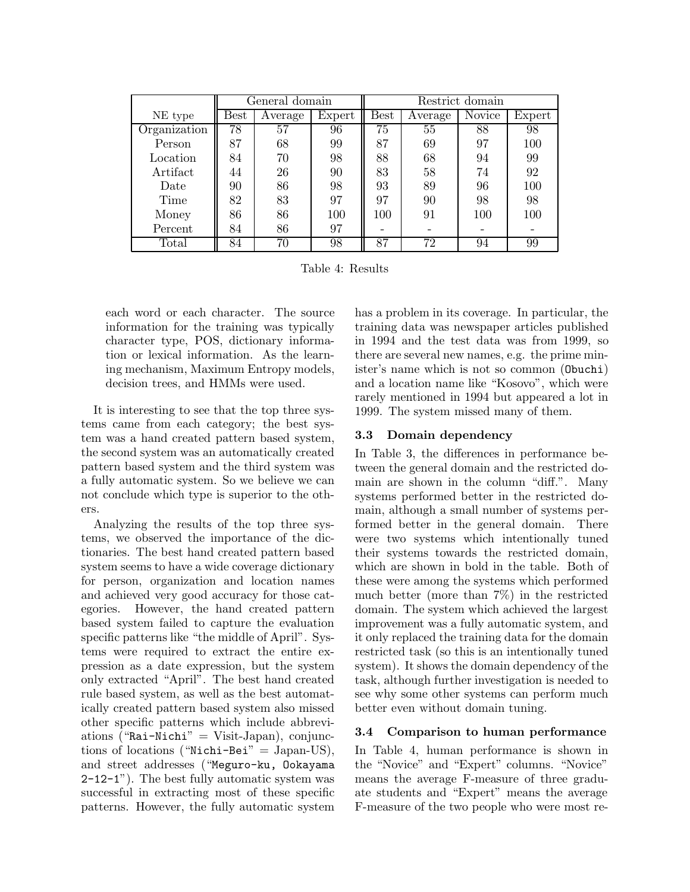|                | General domain |         | Restrict domain |             |         |               |        |
|----------------|----------------|---------|-----------------|-------------|---------|---------------|--------|
| NE type        | $_{\rm Best}$  | Average | Expert          | <b>Best</b> | Average | <b>Novice</b> | Expert |
| Organization   | 78             | 57      | 96              | 75          | 55      | 88            | 98     |
| Person         | 87             | 68      | 99              | 87          | 69      | 97            | 100    |
| Location       | 84             | 70      | 98              | 88          | 68      | 94            | 99     |
| Artifact       | 44             | 26      | 90              | 83          | 58      | 74            | 92     |
| Date           | 90             | 86      | 98              | 93          | 89      | 96            | 100    |
| Time           | 82             | 83      | 97              | 97          | 90      | 98            | 98     |
| Money          | 86             | 86      | 100             | 100         | 91      | 100           | 100    |
| Percent        | 84             | 86      | 97              |             |         |               |        |
| $\text{Total}$ | 84             | 70      | 98              | 87          | 72      | 94            | 99     |

Table 4: Results

each word or each character. The source information for the training was typically character type, POS, dictionary information or lexical information. As the learning mechanism, Maximum Entropy models, decision trees, and HMMs were used.

It is interesting to see that the top three systems came from each category; the best system was a hand created pattern based system, the second system was an automatically created pattern based system and the third system was a fully automatic system. So we believe we can not conclude which type is superior to the others.

Analyzing the results of the top three systems, we observed the importance of the dictionaries. The best hand created pattern based system seems to have a wide coverage dictionary for person, organization and location names and achieved very good accuracy for those categories. However, the hand created pattern based system failed to capture the evaluation specific patterns like "the middle of April". Systems were required to extract the entire expression as a date expression, but the system only extracted "April". The best hand created rule based system, as well as the best automatically created pattern based system also missed other specific patterns which include abbreviations ("Rai-Nichi" = Visit-Japan), conjunctions of locations ("Nichi-Bei" = Japan-US), and street addresses ("Meguro-ku, Ookayama 2-12-1"). The best fully automatic system was successful in extracting most of these specific patterns. However, the fully automatic system has a problem in its coverage. In particular, the training data was newspaper articles published in 1994 and the test data was from 1999, so there are several new names, e.g. the prime minister's name which is not so common (Obuchi) and a location name like "Kosovo", which were rarely mentioned in 1994 but appeared a lot in 1999. The system missed many of them.

## **3.3 Domain dependency**

In Table 3, the differences in performance between the general domain and the restricted domain are shown in the column "diff.". Many systems performed better in the restricted domain, although a small number of systems performed better in the general domain. There were two systems which intentionally tuned their systems towards the restricted domain, which are shown in bold in the table. Both of these were among the systems which performed much better (more than 7%) in the restricted domain. The system which achieved the largest improvement was a fully automatic system, and it only replaced the training data for the domain restricted task (so this is an intentionally tuned system). It shows the domain dependency of the task, although further investigation is needed to see why some other systems can perform much better even without domain tuning.

## **3.4 Comparison to human performance**

In Table 4, human performance is shown in the "Novice" and "Expert" columns. "Novice" means the average F-measure of three graduate students and "Expert" means the average F-measure of the two people who were most re